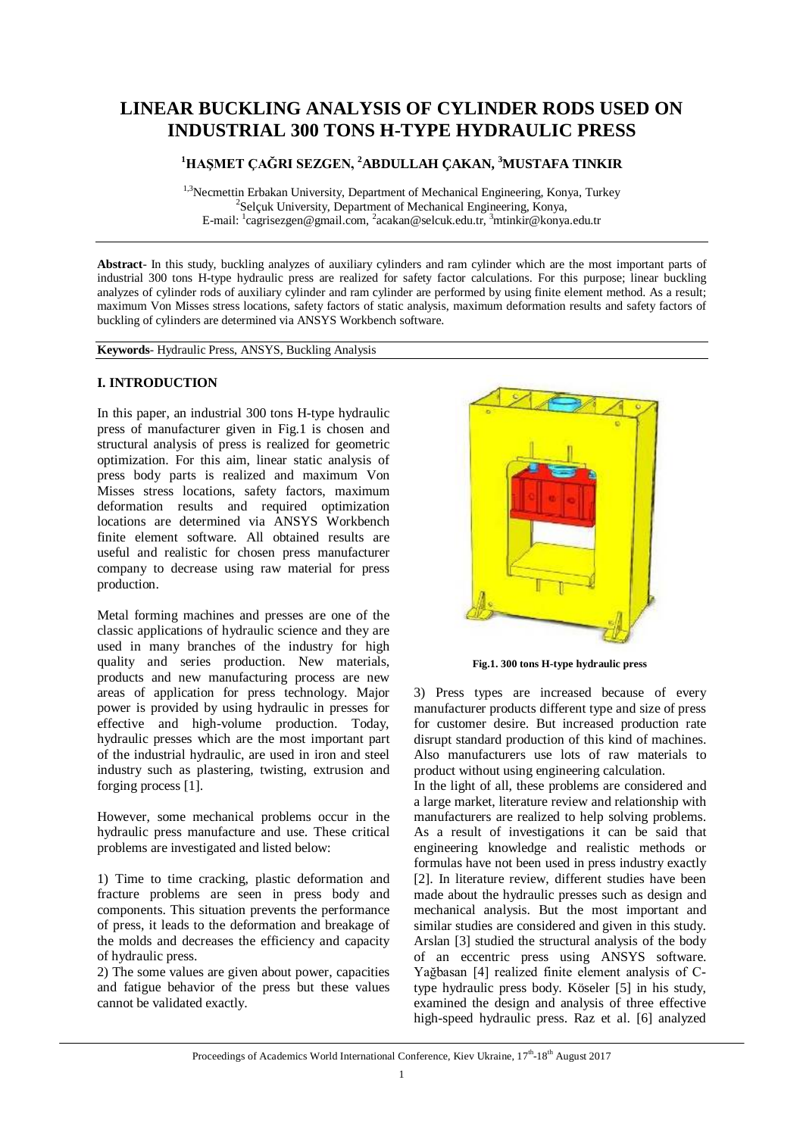# **LINEAR BUCKLING ANALYSIS OF CYLINDER RODS USED ON INDUSTRIAL 300 TONS H-TYPE HYDRAULIC PRESS**

# **<sup>1</sup>HAŞMET ÇAĞRI SEZGEN, <sup>2</sup>ABDULLAH ÇAKAN, <sup>3</sup>MUSTAFA TINKIR**

<sup>1,3</sup>Necmettin Erbakan University, Department of Mechanical Engineering, Konya, Turkey 2 Selçuk University, Department of Mechanical Engineering, Konya, E-mail: <sup>1</sup>[cagrisezgen@gmail.com,](mailto:cagrisezgen@gmail.com,) <sup>2</sup>[acakan@selcuk.edu.tr,](mailto:acakan@selcuk.edu.tr,) <sup>3</sup>[mtinkir@konya.edu.tr](mailto:mtinkir@konya.edu.tr)

**Abstract**- In this study, buckling analyzes of auxiliary cylinders and ram cylinder which are the most important parts of industrial 300 tons H-type hydraulic press are realized for safety factor calculations. For this purpose; linear buckling analyzes of cylinder rods of auxiliary cylinder and ram cylinder are performed by using finite element method. As a result; maximum Von Misses stress locations, safety factors of static analysis, maximum deformation results and safety factors of buckling of cylinders are determined via ANSYS Workbench software.

**Keywords**- Hydraulic Press, ANSYS, Buckling Analysis

### **I. INTRODUCTION**

In this paper, an industrial 300 tons H-type hydraulic press of manufacturer given in Fig.1 is chosen and structural analysis of press is realized for geometric optimization. For this aim, linear static analysis of press body parts is realized and maximum Von Misses stress locations, safety factors, maximum deformation results and required optimization locations are determined via ANSYS Workbench finite element software. All obtained results are useful and realistic for chosen press manufacturer company to decrease using raw material for press production.

Metal forming machines and presses are one of the classic applications of hydraulic science and they are used in many branches of the industry for high quality and series production. New materials, products and new manufacturing process are new areas of application for press technology. Major power is provided by using hydraulic in presses for effective and high-volume production. Today, hydraulic presses which are the most important part of the industrial hydraulic, are used in iron and steel industry such as plastering, twisting, extrusion and forging process [1].

However, some mechanical problems occur in the hydraulic press manufacture and use. These critical problems are investigated and listed below:

1) Time to time cracking, plastic deformation and fracture problems are seen in press body and components. This situation prevents the performance of press, it leads to the deformation and breakage of the molds and decreases the efficiency and capacity of hydraulic press.

2) The some values are given about power, capacities and fatigue behavior of the press but these values cannot be validated exactly.



**Fig.1. 300 tons H-type hydraulic press**

3) Press types are increased because of every manufacturer products different type and size of press for customer desire. But increased production rate disrupt standard production of this kind of machines. Also manufacturers use lots of raw materials to product without using engineering calculation.

In the light of all, these problems are considered and a large market, literature review and relationship with manufacturers are realized to help solving problems. As a result of investigations it can be said that engineering knowledge and realistic methods or formulas have not been used in press industry exactly [2]. In literature review, different studies have been made about the hydraulic presses such as design and mechanical analysis. But the most important and similar studies are considered and given in this study. Arslan [3] studied the structural analysis of the body of an eccentric press using ANSYS software. Yağbasan [4] realized finite element analysis of Ctype hydraulic press body. Köseler [5] in his study, examined the design and analysis of three effective high-speed hydraulic press. Raz et al. [6] analyzed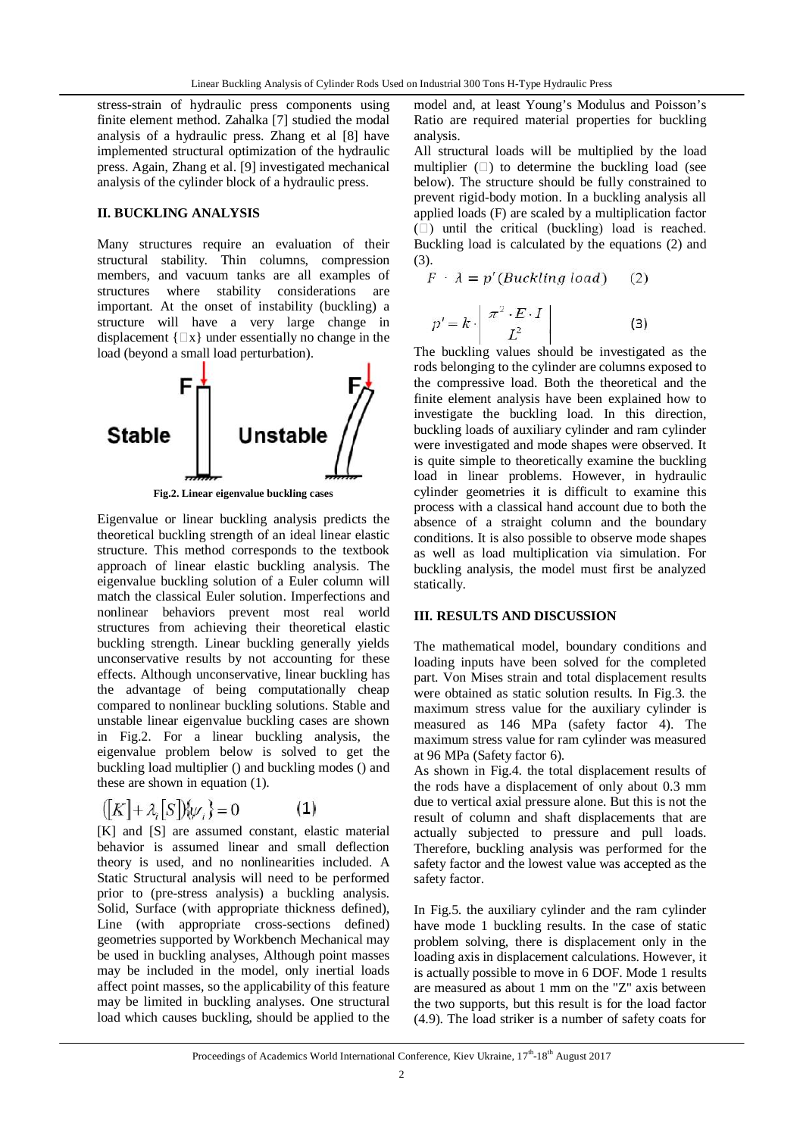stress-strain of hydraulic press components using finite element method. Zahalka [7] studied the modal analysis of a hydraulic press. Zhang et al [8] have implemented structural optimization of the hydraulic press. Again, Zhang et al. [9] investigated mechanical analysis of the cylinder block of a hydraulic press.

## **II. BUCKLING ANALYSIS**

Many structures require an evaluation of their structural stability. Thin columns, compression members, and vacuum tanks are all examples of structures where stability considerations are important. At the onset of instability (buckling) a structure will have a very large change in displacement  $\{\Box x\}$  under essentially no change in the load (beyond a small load perturbation).



Eigenvalue or linear buckling analysis predicts the theoretical buckling strength of an ideal linear elastic structure. This method corresponds to the textbook approach of linear elastic buckling analysis. The eigenvalue buckling solution of a Euler column will match the classical Euler solution. Imperfections and nonlinear behaviors prevent most real world structures from achieving their theoretical elastic buckling strength. Linear buckling generally yields unconservative results by not accounting for these effects. Although unconservative, linear buckling has the advantage of being computationally cheap compared to nonlinear buckling solutions. Stable and unstable linear eigenvalue buckling cases are shown in Fig.2. For a linear buckling analysis, the eigenvalue problem below is solved to get the buckling load multiplier () and buckling modes () and these are shown in equation (1).

$$
([K] + \lambda_i[S])\{\psi_i\} = 0 \tag{1}
$$

[K] and [S] are assumed constant, elastic material behavior is assumed linear and small deflection theory is used, and no nonlinearities included. A Static Structural analysis will need to be performed prior to (pre-stress analysis) a buckling analysis. Solid, Surface (with appropriate thickness defined), Line (with appropriate cross-sections defined) geometries supported by Workbench Mechanical may be used in buckling analyses, Although point masses may be included in the model, only inertial loads affect point masses, so the applicability of this feature may be limited in buckling analyses. One structural load which causes buckling, should be applied to the

model and, at least Young's Modulus and Poisson's Ratio are required material properties for buckling analysis.

All structural loads will be multiplied by the load multiplier  $(\Box)$  to determine the buckling load (see below). The structure should be fully constrained to prevent rigid-body motion. In a buckling analysis all applied loads (F) are scaled by a multiplication factor  $(\Box)$  until the critical (buckling) load is reached. Buckling load is calculated by the equations (2) and (3).

$$
F \cdot \lambda = p'(Buckling load) \quad (2)
$$

$$
p' = k \cdot \begin{vmatrix} \pi^2 \cdot E \cdot I \\ L^2 \end{vmatrix}
$$
 (3)

The buckling values should be investigated as the rods belonging to the cylinder are columns exposed to the compressive load. Both the theoretical and the finite element analysis have been explained how to investigate the buckling load. In this direction, buckling loads of auxiliary cylinder and ram cylinder were investigated and mode shapes were observed. It is quite simple to theoretically examine the buckling load in linear problems. However, in hydraulic cylinder geometries it is difficult to examine this process with a classical hand account due to both the absence of a straight column and the boundary conditions. It is also possible to observe mode shapes as well as load multiplication via simulation. For buckling analysis, the model must first be analyzed statically.

#### **III. RESULTS AND DISCUSSION**

The mathematical model, boundary conditions and loading inputs have been solved for the completed part. Von Mises strain and total displacement results were obtained as static solution results. In Fig.3. the maximum stress value for the auxiliary cylinder is measured as 146 MPa (safety factor 4). The maximum stress value for ram cylinder was measured at 96 MPa (Safety factor 6).

As shown in Fig.4. the total displacement results of the rods have a displacement of only about 0.3 mm due to vertical axial pressure alone. But this is not the result of column and shaft displacements that are actually subjected to pressure and pull loads. Therefore, buckling analysis was performed for the safety factor and the lowest value was accepted as the safety factor.

In Fig.5. the auxiliary cylinder and the ram cylinder have mode 1 buckling results. In the case of static problem solving, there is displacement only in the loading axis in displacement calculations. However, it is actually possible to move in 6 DOF. Mode 1 results are measured as about 1 mm on the "Z" axis between the two supports, but this result is for the load factor (4.9). The load striker is a number of safety coats for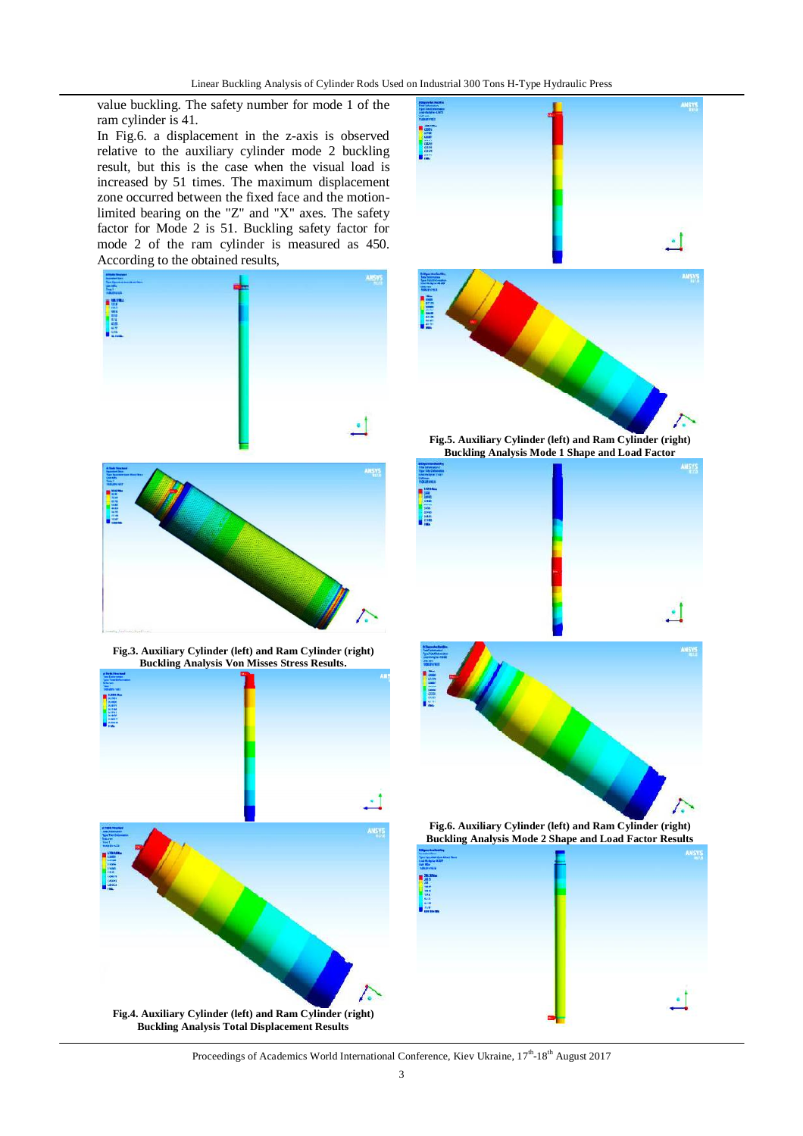value buckling. The safety number for mode 1 of the ram cylinder is 41.

In Fig.6. a displacement in the z-axis is observed relative to the auxiliary cylinder mode 2 buckling result, but this is the case when the visual load is increased by 51 times. The maximum displacement zone occurred between the fixed face and the motionlimited bearing on the "Z" and "X" axes. The safety factor for Mode 2 is 51. Buckling safety factor for mode 2 of the ram cylinder is measured as 450. According to the obtained results,





Proceedings of Academics World International Conference, Kiev Ukraine, 17<sup>th</sup>-18<sup>th</sup> August 2017